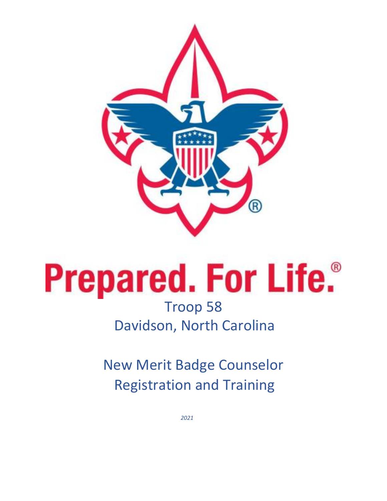

# **Prepared. For Life.**<sup>®</sup> Troop 58 Davidson, North Carolina

New Merit Badge Counselor Registration and Training

*2021*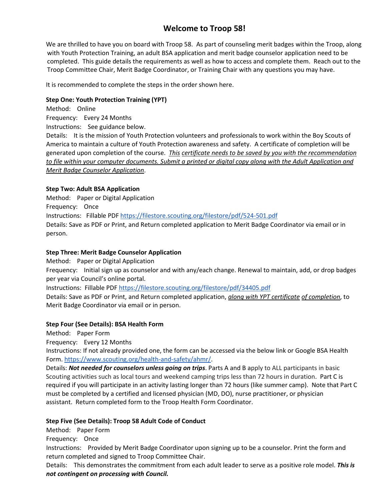## **Welcome to Troop 58!**

We are thrilled to have you on board with Troop 58. As part of counseling merit badges within the Troop, along with Youth Protection Training, an adult BSA application and merit badge counselor application need to be completed. This guide details the requirements as well as how to access and complete them. Reach out to the Troop Committee Chair, Merit Badge Coordinator, or Training Chair with any questions you may have.

It is recommended to complete the steps in the order shown here.

#### **Step One: Youth Protection Training (YPT)**

- Method: Online
- Frequency: Every 24 Months

Instructions: See guidance below.

Details: It is the mission of Youth Protection volunteers and professionals to work within the Boy Scouts of America to maintain a culture of Youth Protection awareness and safety. A certificate of completion will be generated upon completion of the course. *This certificate needs to be saved by you with the recommendation to file within your computer documents. Submit a printed or digital copy along with the Adult Application and Merit Badge Counselor Application*.

#### **Step Two: Adult BSA Application**

Method: Paper or Digital Application

Frequency: Once

Instructions: Fillable PDF [https://filestore.scouting.org/filestore/pdf/524‐501.pdf](https://filestore.scouting.org/filestore/pdf/524%E2%80%90501.pdf)

Details: Save as PDF or Print, and Return completed application to Merit Badge Coordinator via email or in person.

#### **Step Three: Merit Badge Counselor Application**

Method: Paper or Digital Application

Frequency: Initial sign up as counselor and with any/each change. Renewal to maintain, add, or drop badges per year via Council's online portal.

Instructions: Fillable PDF <https://filestore.scouting.org/filestore/pdf/34405.pdf>

Details: Save as PDF or Print, and Return completed application, *along with YPT certificate of completion*, to Merit Badge Coordinator via email or in person.

#### **Step Four (See Details): BSA Health Form**

Method: Paper Form

Frequency: Every 12 Months

Instructions: If not already provided one, the form can be accessed via the below link or Google BSA Health Form. [https://www.scouting.org/health-and-safety/ahmr/.](https://www.scouting.org/health-and-safety/ahmr/)

Details: *Not needed for counselors unless going on trips*. Parts A and B apply to ALL participants in basic Scouting activities such as local tours and weekend camping trips less than 72 hours in duration. Part C is required if you will participate in an activity lasting longer than 72 hours (like summer camp). Note that Part C must be completed by a certified and licensed physician (MD, DO), nurse practitioner, or physician assistant. Return completed form to the Troop Health Form Coordinator.

#### **Step Five (See Details): Troop 58 Adult Code of Conduct**

Method: Paper Form

Frequency: Once

Instructions: Provided by Merit Badge Coordinator upon signing up to be a counselor. Print the form and return completed and signed to Troop Committee Chair.

Details: This demonstrates the commitment from each adult leader to serve as a positive role model. *This is not contingent on processing with Council.*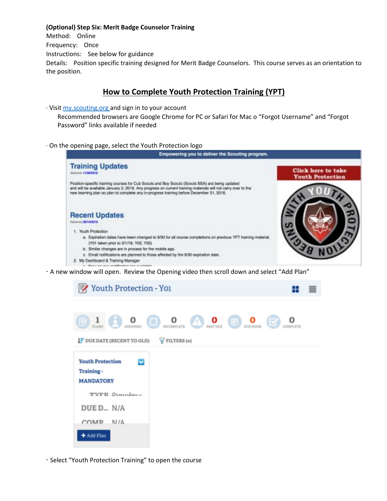#### **(Optional) Step Six: Merit Badge Counselor Training**

Method: Online Frequency: Once Instructions: See below for guidance Details: Position specific training designed for Merit Badge Counselors. This course serves as an orientation to the position.

### **How to Complete Youth Protection Training (YPT)**

∙ Visit my.scouting.org and sign in to your account

Recommended browsers are Google Chrome for PC or Safari for Mac o "Forgot Username" and "Forgot Password" links available if needed

∙ On the opening page, select the Youth Protection logo



∙ A new window will open. Review the Opening video then scroll down and select "Add Plan"

| ▼ Youth Protection - Yoı                                                             |                   |                                             |                      |  |
|--------------------------------------------------------------------------------------|-------------------|---------------------------------------------|----------------------|--|
| o<br>ı<br>$\Box$<br>ASSIGNED<br>PLANS<br>IF DUE DATE (RECENT TO OLD)                 | $V$ FILTERS $(n)$ | DISCONFLETE 1 <b>0</b> PAST DUE ON DUE SOON | Œ<br><b>COMPLETE</b> |  |
| <b>Youth Protection</b><br>$\overline{\mathbf{v}}$<br>Training -<br><b>MANDATORY</b> |                   |                                             |                      |  |
| <b>TYPE Standar</b> -<br>DUE D N/A                                                   |                   |                                             |                      |  |
| NI/A<br>COMP<br>+ Add Plan                                                           |                   |                                             |                      |  |

∙ Select "Youth Protection Training" to open the course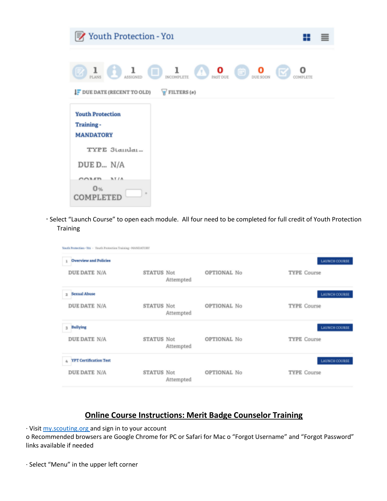| ■Youth Protection - Yoi<br>≡                                                                                                                                |
|-------------------------------------------------------------------------------------------------------------------------------------------------------------|
| $\mathbf{1}_{\text{ASSICNED}}$<br>ı<br>INCOMPLETE <b>D O NATDUE CD DUE SOON</b><br>le<br>PLANS<br>I DUE DATE (RECENT TO OLD)<br>$\sqrt{\text{FILLTERS}(n)}$ |
| <b>Youth Protection</b><br>Training-<br><b>MANDATORY</b>                                                                                                    |
| TYPE 3tandar<br>DUE D N/A                                                                                                                                   |
| <b>ATIA</b><br>COLER<br>0 <sub>%</sub><br>COMPLETED                                                                                                         |

∙ Select "Launch Course" to open each module. All four need to be completed for full credit of Youth Protection **Training** 

| Youth Protection - You - Youth Protection Training - MAMIATORY |                         |             |                      |  |
|----------------------------------------------------------------|-------------------------|-------------|----------------------|--|
| <b>Overview and Policies</b>                                   |                         |             | <b>LAUNCH COURSE</b> |  |
| DUE DATE N/A                                                   | STATUS Not<br>Attempted | OPTIONAL No | <b>TYPE Course</b>   |  |
| <b>Sexual Abuse</b><br>$\overline{z}$                          |                         |             | <b>LAUNCH COURSE</b> |  |
| DUE DATE N/A                                                   | STATUS Not<br>Attempted | OPTIONAL No | <b>TYPE Course</b>   |  |
| Bullying<br>3                                                  |                         |             | LAUNCH COURSE        |  |
| DUE DATE N/A                                                   | STATUS Not<br>Attempted | OPTIONAL No | <b>TYPE Course</b>   |  |
| <b>YPT Certification Test</b><br>a,                            |                         |             | <b>LAUNCH COURSE</b> |  |
| DUE DATE N/A                                                   | STATUS Not<br>Attempted | OPTIONAL No | <b>TYPE Course</b>   |  |

## **Online Course Instructions: Merit Badge Counselor Training**

∙ Visit my.scouting.org and sign in to your account

o Recommended browsers are Google Chrome for PC or Safari for Mac o "Forgot Username" and "Forgot Password" links available if needed

∙ Select "Menu" in the upper left corner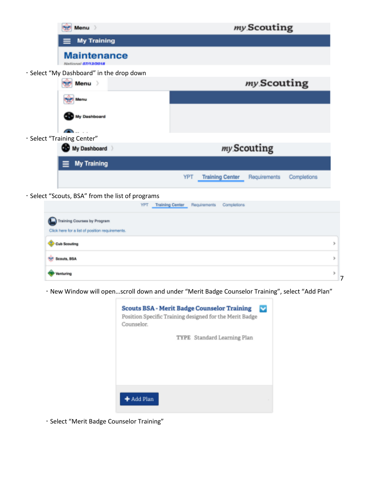|                    | Menu >                                           | my Scouting                                                  |
|--------------------|--------------------------------------------------|--------------------------------------------------------------|
| <b>My Training</b> |                                                  |                                                              |
|                    | <b>Maintenance</b><br>National 07/12/2018        |                                                              |
|                    | · Select "My Dashboard" in the drop down         |                                                              |
|                    | Menu >                                           | my Scouting                                                  |
|                    | Menu                                             |                                                              |
|                    | My Dashboard                                     |                                                              |
|                    | · Select "Training Center"                       |                                                              |
|                    | My Dashboard                                     | my Scouting                                                  |
|                    | <b>My Training</b>                               |                                                              |
|                    |                                                  | YPT<br><b>Training Center</b><br>Requirements<br>Completions |
|                    | · Select "Scouts, BSA" from the list of programs |                                                              |

- YPT Training Center Requirements Completions Training Courses by Program Click here for a list of position requirements. Cub Scouting **12 Scouts, BSA** Venturing
	- ∙ New Window will open…scroll down and under "Merit Badge Counselor Training", select "Add Plan"

7

þ

r

×



∙ Select "Merit Badge Counselor Training"